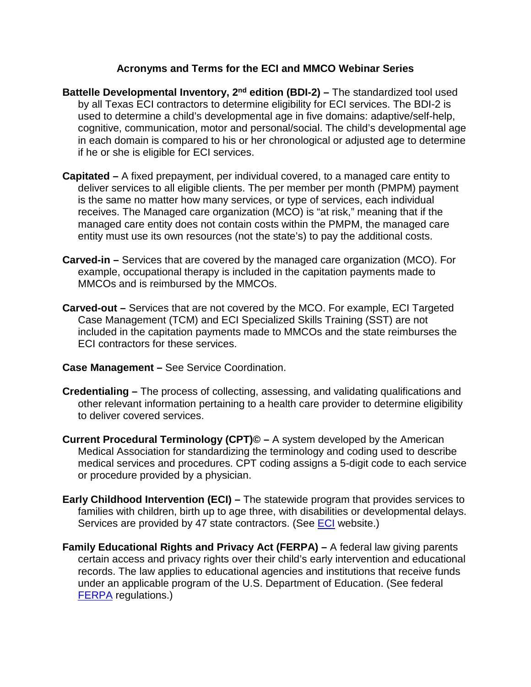## **Acronyms and Terms for the ECI and MMCO Webinar Series**

- **Battelle Developmental Inventory, 2<sup>nd</sup> edition (BDI-2) –** The standardized tool used by all Texas ECI contractors to determine eligibility for ECI services. The BDI-2 is used to determine a child's developmental age in five domains: adaptive/self-help, cognitive, communication, motor and personal/social. The child's developmental age in each domain is compared to his or her chronological or adjusted age to determine if he or she is eligible for ECI services.
- **Capitated –** A fixed prepayment, per individual covered, to a managed care entity to deliver services to all eligible clients. The per member per month (PMPM) payment is the same no matter how many services, or type of services, each individual receives. The Managed care organization (MCO) is "at risk," meaning that if the managed care entity does not contain costs within the PMPM, the managed care entity must use its own resources (not the state's) to pay the additional costs.
- **Carved-in –** Services that are covered by the managed care organization (MCO). For example, occupational therapy is included in the capitation payments made to MMCOs and is reimbursed by the MMCOs.
- **Carved-out –** Services that are not covered by the MCO. For example, ECI Targeted Case Management (TCM) and ECI Specialized Skills Training (SST) are not included in the capitation payments made to MMCOs and the state reimburses the ECI contractors for these services.
- **Case Management –** See Service Coordination.
- **Credentialing –** The process of collecting, assessing, and validating qualifications and other relevant information pertaining to a health care provider to determine eligibility to deliver covered services.
- **Current Procedural Terminology (CPT)© –** A system developed by the American Medical Association for standardizing the terminology and coding used to describe medical services and procedures. CPT coding assigns a 5-digit code to each service or procedure provided by a physician.
- **Early Childhood Intervention (ECI) –** The statewide program that provides services to families with children, birth up to age three, with disabilities or developmental delays. Services are provided by 47 state contractors. (See **ECI** website.)
- **Family Educational Rights and Privacy Act (FERPA) –** A federal law giving parents certain access and privacy rights over their child's early intervention and educational records. The law applies to educational agencies and institutions that receive funds under an applicable program of the U.S. Department of Education. (See federal [FERPA](http://www.ecfr.gov/cgi-bin/text-idx?SID=73fd77bd0c02923d627c5574b9fc82ba&mc=true&tpl=/ecfrbrowse/Title34/34cfr99_main_02.tpl) regulations.)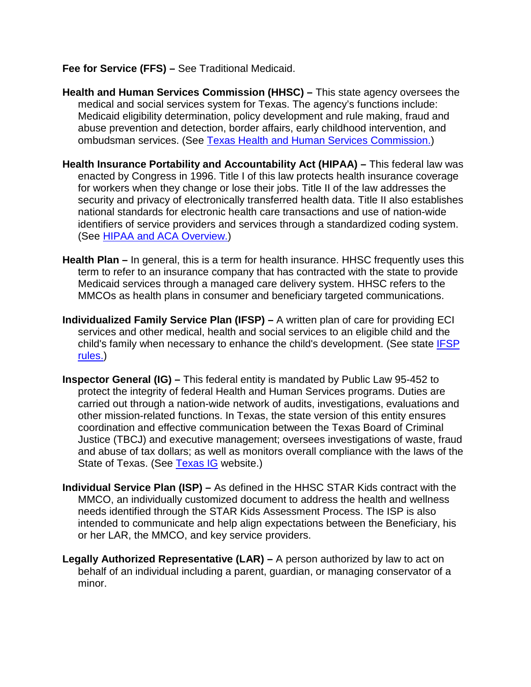**Fee for Service (FFS) –** See Traditional Medicaid.

- **Health and Human Services Commission (HHSC) –** This state agency oversees the medical and social services system for Texas. The agency's functions include: Medicaid eligibility determination, policy development and rule making, fraud and abuse prevention and detection, border affairs, early childhood intervention, and ombudsman services. (See [Texas Health and Human Services Commission.](https://hhs.texas.gov/about-hhs))
- **Health Insurance Portability and Accountability Act (HIPAA) –** This federal law was enacted by Congress in 1996. Title I of this law protects health insurance coverage for workers when they change or lose their jobs. Title II of the law addresses the security and privacy of electronically transferred health data. Title II also establishes national standards for electronic health care transactions and use of nation-wide identifiers of service providers and services through a standardized coding system. (See [HIPAA and ACA Overview.](https://www.cms.gov/Regulations-and-Guidance/Administrative-Simplification/HIPAA-ACA/index.html))
- **Health Plan –** In general, this is a term for health insurance. HHSC frequently uses this term to refer to an insurance company that has contracted with the state to provide Medicaid services through a managed care delivery system. HHSC refers to the MMCOs as health plans in consumer and beneficiary targeted communications.
- **Individualized Family Service Plan (IFSP)** A written plan of care for providing ECI services and other medical, health and social services to an eligible child and the child's family when necessary to enhance the child's development. (See state [IFSP](http://texreg.sos.state.tx.us/public/readtac$ext.ViewTAC?tac_view=5&ti=40&pt=2&ch=108&sch=J&rl=Y)  [rules.](http://texreg.sos.state.tx.us/public/readtac$ext.ViewTAC?tac_view=5&ti=40&pt=2&ch=108&sch=J&rl=Y))
- **Inspector General (IG) –** This federal entity is mandated by Public Law 95-452 to protect the integrity of federal Health and Human Services programs. Duties are carried out through a nation-wide network of audits, investigations, evaluations and other mission-related functions. In Texas, the state version of this entity ensures coordination and effective communication between the Texas Board of Criminal Justice (TBCJ) and executive management; oversees investigations of waste, fraud and abuse of tax dollars; as well as monitors overall compliance with the laws of the State of Texas. (See [Texas IG](https://oig.hhsc.state.tx.us/) website.)
- **Individual Service Plan (ISP) –** As defined in the HHSC STAR Kids contract with the MMCO, an individually customized document to address the health and wellness needs identified through the STAR Kids Assessment Process. The ISP is also intended to communicate and help align expectations between the Beneficiary, his or her LAR, the MMCO, and key service providers.
- **Legally Authorized Representative (LAR) –** A person authorized by law to act on behalf of an individual including a parent, guardian, or managing conservator of a minor.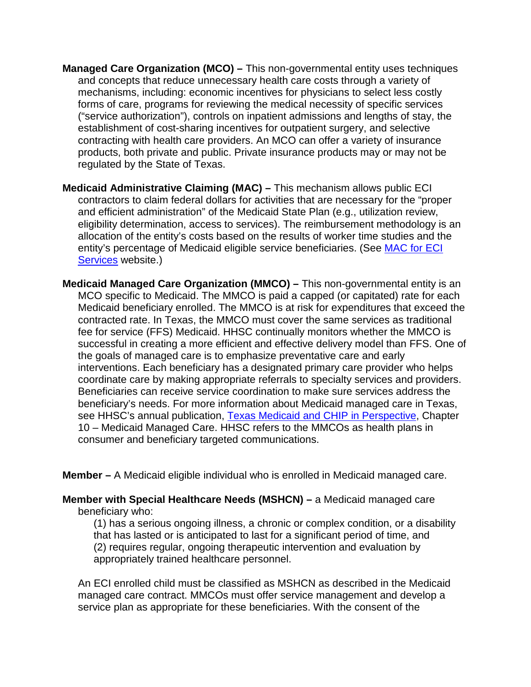- **Managed Care Organization (MCO) –** This non-governmental entity uses techniques and concepts that reduce unnecessary health care costs through a variety of mechanisms, including: economic incentives for physicians to select less costly forms of care, programs for reviewing the medical necessity of specific services ("service authorization"), controls on inpatient admissions and lengths of stay, the establishment of cost-sharing incentives for outpatient surgery, and selective contracting with health care providers. An MCO can offer a variety of insurance products, both private and public. Private insurance products may or may not be regulated by the State of Texas.
- **Medicaid Administrative Claiming (MAC) –** This mechanism allows public ECI contractors to claim federal dollars for activities that are necessary for the "proper and efficient administration" of the Medicaid State Plan (e.g., utilization review, eligibility determination, access to services). The reimbursement methodology is an allocation of the entity's costs based on the results of worker time studies and the entity's percentage of Medicaid eligible service beneficiaries. (See [MAC for ECI](http://www.hhsc.state.tx.us/rad/mac/eci-mac.shtml)  [Services](http://www.hhsc.state.tx.us/rad/mac/eci-mac.shtml) website.)
- **Medicaid Managed Care Organization (MMCO) –** This non-governmental entity is an MCO specific to Medicaid. The MMCO is paid a capped (or capitated) rate for each Medicaid beneficiary enrolled. The MMCO is at risk for expenditures that exceed the contracted rate. In Texas, the MMCO must cover the same services as traditional fee for service (FFS) Medicaid. HHSC continually monitors whether the MMCO is successful in creating a more efficient and effective delivery model than FFS. One of the goals of managed care is to emphasize preventative care and early interventions. Each beneficiary has a designated primary care provider who helps coordinate care by making appropriate referrals to specialty services and providers. Beneficiaries can receive service coordination to make sure services address the beneficiary's needs. For more information about Medicaid managed care in Texas, see HHSC's annual publication, [Texas Medicaid and CHIP in Perspective,](https://hhs.texas.gov/services/health/medicaid-and-chip/about-medicaid/texas-medicaid-and-chip-perspective-10th-edition) Chapter 10 – Medicaid Managed Care. HHSC refers to the MMCOs as health plans in consumer and beneficiary targeted communications.

**Member –** A Medicaid eligible individual who is enrolled in Medicaid managed care.

**Member with Special Healthcare Needs (MSHCN) –** a Medicaid managed care beneficiary who:

(1) has a serious ongoing illness, a chronic or complex condition, or a disability that has lasted or is anticipated to last for a significant period of time, and (2) requires regular, ongoing therapeutic intervention and evaluation by appropriately trained healthcare personnel.

An ECI enrolled child must be classified as MSHCN as described in the Medicaid managed care contract. MMCOs must offer service management and develop a service plan as appropriate for these beneficiaries. With the consent of the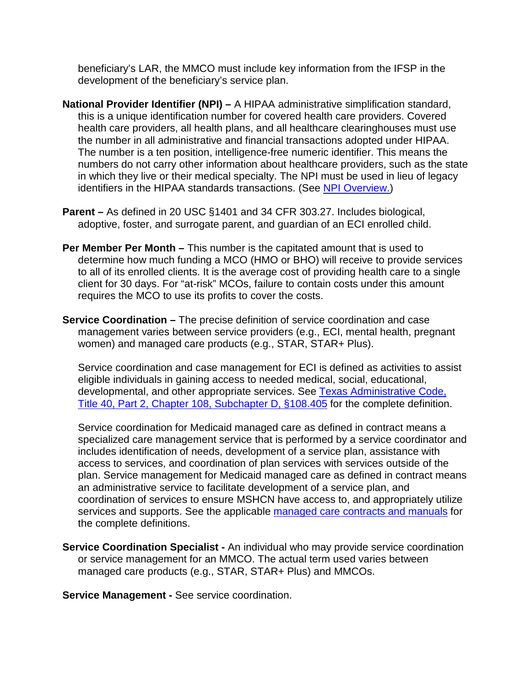beneficiary's LAR, the MMCO must include key information from the IFSP in the development of the beneficiary's service plan.

- **National Provider Identifier (NPI) –** A HIPAA administrative simplification standard, this is a unique identification number for covered health care providers. Covered health care providers, all health plans, and all healthcare clearinghouses must use the number in all administrative and financial transactions adopted under HIPAA. The number is a ten position, intelligence-free numeric identifier. This means the numbers do not carry other information about healthcare providers, such as the state in which they live or their medical specialty. The NPI must be used in lieu of legacy identifiers in the HIPAA standards transactions. (See [NPI Overview.](https://www.cms.gov/Regulations-and-Guidance/Administrative-Simplification/NationalProvIdentStand/))
- **Parent –** As defined in 20 USC §1401 and 34 CFR 303.27. Includes biological, adoptive, foster, and surrogate parent, and guardian of an ECI enrolled child.
- **Per Member Per Month –** This number is the capitated amount that is used to determine how much funding a MCO (HMO or BHO) will receive to provide services to all of its enrolled clients. It is the average cost of providing health care to a single client for 30 days. For "at-risk" MCOs, failure to contain costs under this amount requires the MCO to use its profits to cover the costs.
- **Service Coordination –** The precise definition of service coordination and case management varies between service providers (e.g., ECI, mental health, pregnant women) and managed care products (e.g., STAR, STAR+ Plus).

Service coordination and case management for ECI is defined as activities to assist eligible individuals in gaining access to needed medical, social, educational, developmental, and other appropriate services. See [Texas Administrative Code,](http://texreg.sos.state.tx.us/public/readtac$ext.TacPage?sl=R&app=9&p_dir=&p_rloc=&p_tloc=&p_ploc=&pg=1&p_tac=&ti=40&pt=2&ch=108&rl=405)  [Title 40, Part 2, Chapter 108, Subchapter D, §108.405](http://texreg.sos.state.tx.us/public/readtac$ext.TacPage?sl=R&app=9&p_dir=&p_rloc=&p_tloc=&p_ploc=&pg=1&p_tac=&ti=40&pt=2&ch=108&rl=405) for the complete definition.

Service coordination for Medicaid managed care as defined in contract means a specialized care management service that is performed by a service coordinator and includes identification of needs, development of a service plan, assistance with access to services, and coordination of plan services with services outside of the plan. Service management for Medicaid managed care as defined in contract means an administrative service to facilitate development of a service plan, and coordination of services to ensure MSHCN have access to, and appropriately utilize services and supports. See the applicable [managed care contracts and manuals](https://hhs.texas.gov/services/health/medicaid-and-chip/provider-information/managed-care-contracts-and-manuals) for the complete definitions.

**Service Coordination Specialist -** An individual who may provide service coordination or service management for an MMCO. The actual term used varies between managed care products (e.g., STAR, STAR+ Plus) and MMCOs.

**Service Management -** See service coordination.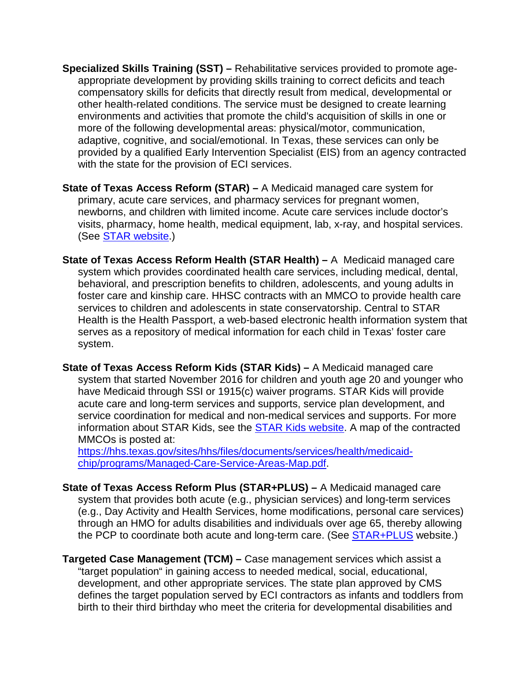- **Specialized Skills Training (SST) –** Rehabilitative services provided to promote ageappropriate development by providing skills training to correct deficits and teach compensatory skills for deficits that directly result from medical, developmental or other health-related conditions. The service must be designed to create learning environments and activities that promote the child's acquisition of skills in one or more of the following developmental areas: physical/motor, communication, adaptive, cognitive, and social/emotional. In Texas, these services can only be provided by a qualified Early Intervention Specialist (EIS) from an agency contracted with the state for the provision of ECI services.
- **State of Texas Access Reform (STAR) –** A Medicaid managed care system for primary, acute care services, and pharmacy services for pregnant women, newborns, and children with limited income. Acute care services include doctor's visits, pharmacy, home health, medical equipment, lab, x-ray, and hospital services. (See [STAR website.](https://hhs.texas.gov/services/health/medicaid-and-chip/programs/star-medicaid-managed-care-program))
- **State of Texas Access Reform Health (STAR Health) –** A Medicaid managed care system which provides coordinated health care services, including medical, dental, behavioral, and prescription benefits to children, adolescents, and young adults in foster care and kinship care. HHSC contracts with an MMCO to provide health care services to children and adolescents in state conservatorship. Central to STAR Health is the Health Passport, a web-based electronic health information system that serves as a repository of medical information for each child in Texas' foster care system.
- **State of Texas Access Reform Kids (STAR Kids) –** A Medicaid managed care system that started November 2016 for children and youth age 20 and younger who have Medicaid through SSI or 1915(c) waiver programs. STAR Kids will provide acute care and long-term services and supports, service plan development, and service coordination for medical and non-medical services and supports. For more information about STAR Kids, see the [STAR Kids website.](https://hhs.texas.gov/services/health/medicaid-and-chip/programs/star-kids) A map of the contracted MMCOs is posted at:

[https://hhs.texas.gov/sites/hhs/files/documents/services/health/medicaid](https://hhs.texas.gov/sites/hhs/files/documents/services/health/medicaid-chip/programs/Managed-Care-Service-Areas-Map.pdf)[chip/programs/Managed-Care-Service-Areas-Map.pdf.](https://hhs.texas.gov/sites/hhs/files/documents/services/health/medicaid-chip/programs/Managed-Care-Service-Areas-Map.pdf)

- **State of Texas Access Reform Plus (STAR+PLUS) –** A Medicaid managed care system that provides both acute (e.g., physician services) and long-term services (e.g., Day Activity and Health Services, home modifications, personal care services) through an HMO for adults disabilities and individuals over age 65, thereby allowing the PCP to coordinate both acute and long-term care. (See [STAR+PLUS](https://hhs.texas.gov/services/health/medicaid-and-chip/programs/starplus) website.)
- **Targeted Case Management (TCM) –** Case management services which assist a "target population" in gaining access to needed medical, social, educational, development, and other appropriate services. The state plan approved by CMS defines the target population served by ECI contractors as infants and toddlers from birth to their third birthday who meet the criteria for developmental disabilities and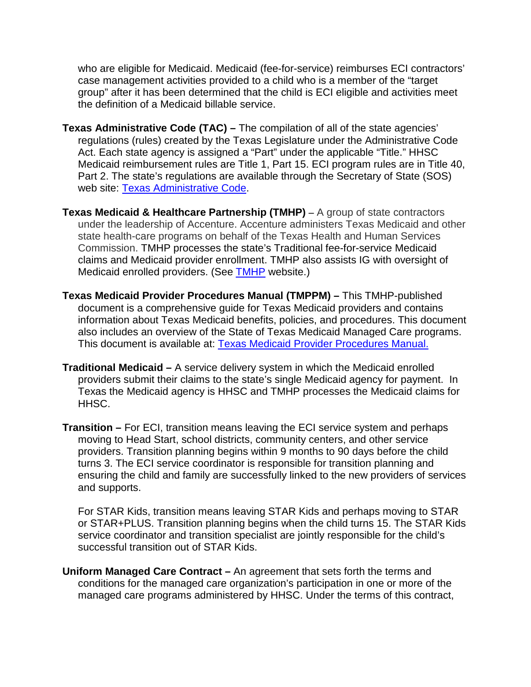who are eligible for Medicaid. Medicaid (fee-for-service) reimburses ECI contractors' case management activities provided to a child who is a member of the "target group" after it has been determined that the child is ECI eligible and activities meet the definition of a Medicaid billable service.

- **Texas Administrative Code (TAC) –** The compilation of all of the state agencies' regulations (rules) created by the Texas Legislature under the Administrative Code Act. Each state agency is assigned a "Part" under the applicable "Title." HHSC Medicaid reimbursement rules are Title 1, Part 15. ECI program rules are in Title 40, Part 2. The state's regulations are available through the Secretary of State (SOS) web site: [Texas Administrative Code.](http://texreg.sos.state.tx.us/public/readtac$ext.viewtac)
- **Texas Medicaid & Healthcare Partnership (TMHP) –** A group of state contractors under the leadership of Accenture. Accenture administers Texas Medicaid and other state health-care programs on behalf of the Texas Health and Human Services Commission. TMHP processes the state's Traditional fee-for-service Medicaid claims and Medicaid provider enrollment. TMHP also assists IG with oversight of Medicaid enrolled providers. (See [TMHP](http://www.tmhp.com/Pages/default.aspx) website.)
- **Texas Medicaid Provider Procedures Manual (TMPPM) –** This TMHP-published document is a comprehensive guide for Texas Medicaid providers and contains information about Texas Medicaid benefits, policies, and procedures. This document also includes an overview of the State of Texas Medicaid Managed Care programs. This document is available at: [Texas Medicaid Provider Procedures Manual.](http://www.tmhp.com/Pages/Medicaid/Medicaid_Publications_Provider_manual.aspx)
- **Traditional Medicaid –** A service delivery system in which the Medicaid enrolled providers submit their claims to the state's single Medicaid agency for payment. In Texas the Medicaid agency is HHSC and TMHP processes the Medicaid claims for HHSC.
- **Transition –** For ECI, transition means leaving the ECI service system and perhaps moving to Head Start, school districts, community centers, and other service providers. Transition planning begins within 9 months to 90 days before the child turns 3. The ECI service coordinator is responsible for transition planning and ensuring the child and family are successfully linked to the new providers of services and supports.

For STAR Kids, transition means leaving STAR Kids and perhaps moving to STAR or STAR+PLUS. Transition planning begins when the child turns 15. The STAR Kids service coordinator and transition specialist are jointly responsible for the child's successful transition out of STAR Kids.

**Uniform Managed Care Contract –** An agreement that sets forth the terms and conditions for the managed care organization's participation in one or more of the managed care programs administered by HHSC. Under the terms of this contract,